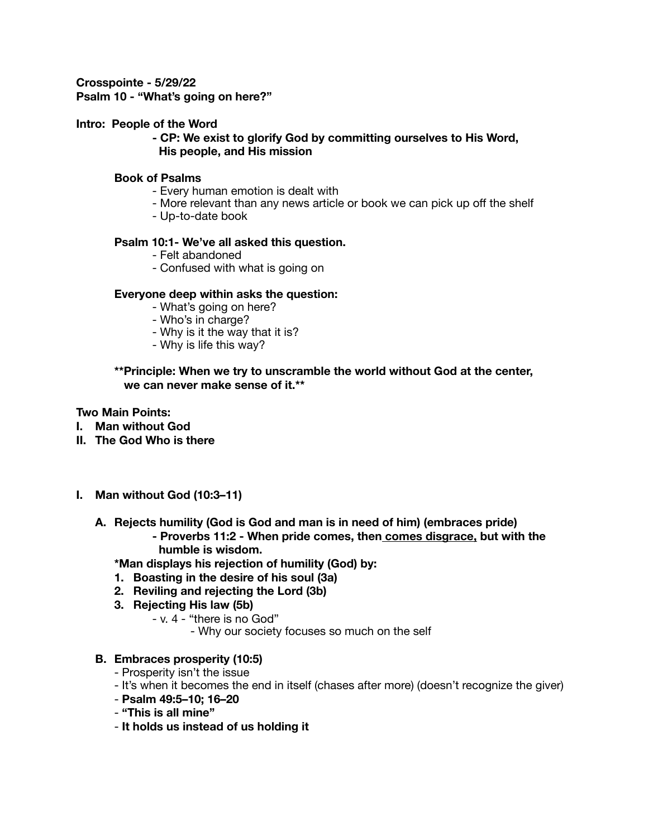**Crosspointe - 5/29/22 Psalm 10 - "What's going on here?"** 

### **Intro: People of the Word**

**- CP: We exist to glorify God by committing ourselves to His Word, His people, and His mission**

#### **Book of Psalms**

- Every human emotion is dealt with
- More relevant than any news article or book we can pick up off the shelf
- Up-to-date book

#### **Psalm 10:1- We've all asked this question.**

- Felt abandoned
- Confused with what is going on

### **Everyone deep within asks the question:**

- What's going on here?
- Who's in charge?
- Why is it the way that it is?
- Why is life this way?

### **\*\*Principle: When we try to unscramble the world without God at the center, we can never make sense of it.\*\***

## **Two Main Points:**

- **I. Man without God**
- **II. The God Who is there**
- **I. Man without God (10:3–11)** 
	- **A. Rejects humility (God is God and man is in need of him) (embraces pride)** 
		- **Proverbs 11:2 When pride comes, then comes disgrace, but with the humble is wisdom.**

**\*Man displays his rejection of humility (God) by:** 

- **1. Boasting in the desire of his soul (3a)**
- **2. Reviling and rejecting the Lord (3b)**
- **3. Rejecting His law (5b)** 
	- v. 4 "there is no God"
		- Why our society focuses so much on the self

### **B. Embraces prosperity (10:5)**

- Prosperity isn't the issue
- It's when it becomes the end in itself (chases after more) (doesn't recognize the giver)
- **Psalm 49:5–10; 16–20**
- **"This is all mine"**
- **It holds us instead of us holding it**